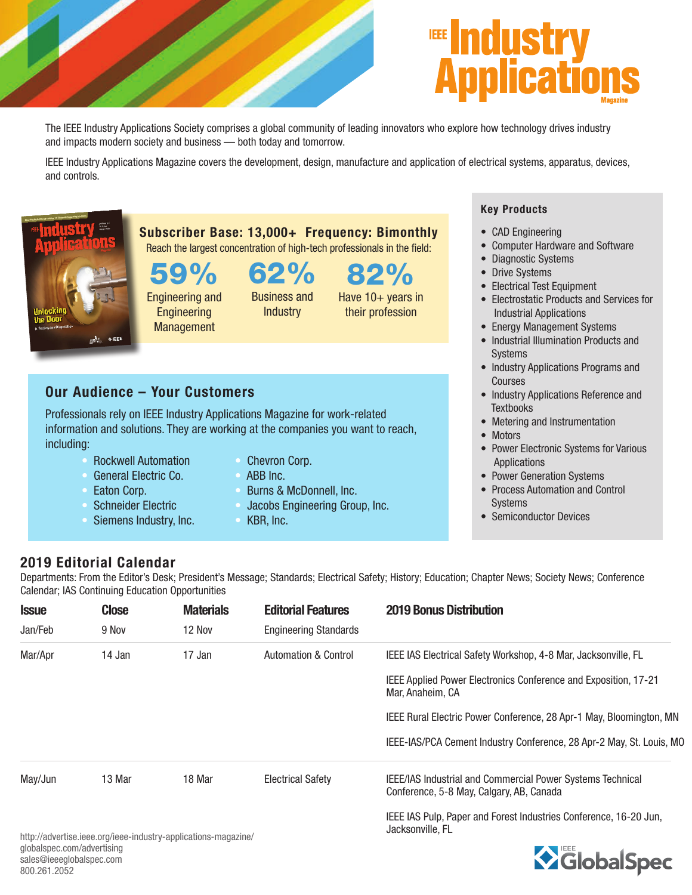



The IEEE Industry Applications Society comprises a global community of leading innovators who explore how technology drives industry and impacts modern society and business — both today and tomorrow.

IEEE Industry Applications Magazine covers the development, design, manufacture and application of electrical systems, apparatus, devices, and controls.



59%

Engineering and **Engineering** Management

62% Business and **Industry** 

Subscriber Base: 13,000+ Frequency: Bimonthly Reach the largest concentration of high-tech professionals in the field:

> 82% Have 10+ years in their profession

## Our Audience – Your Customers

Professionals rely on IEEE Industry Applications Magazine for work-related information and solutions. They are working at the companies you want to reach, including:

- Rockwell Automation
- General Electric Co.
- Eaton Corp.
- Schneider Electric
- Siemens Industry, Inc.
- Chevron Corp.
- ABB Inc.
- Burns & McDonnell, Inc.
- Jacobs Engineering Group, Inc.
- KBR, Inc.

## Key Products

- CAD Engineering
- Computer Hardware and Software
- Diagnostic Systems
- Drive Systems
- Electrical Test Equipment
- Electrostatic Products and Services for Industrial Applications
- Energy Management Systems
- Industrial Illumination Products and Systems
- Industry Applications Programs and Courses
- Industry Applications Reference and **Textbooks**
- Metering and Instrumentation
- Motors
- Power Electronic Systems for Various **Applications**
- Power Generation Systems
- Process Automation and Control Systems
- Semiconductor Devices

## 2019 Editorial Calendar

Departments: From the Editor's Desk; President's Message; Standards; Electrical Safety; History; Education; Chapter News; Society News; Conference Calendar; IAS Continuing Education Opportunities

| <b>Issue</b><br>Jan/Feb | <b>Close</b> | <b>Materials</b><br>12 Nov | <b>Editorial Features</b><br><b>Engineering Standards</b> | <b>2019 Bonus Distribution</b>                                                                                |
|-------------------------|--------------|----------------------------|-----------------------------------------------------------|---------------------------------------------------------------------------------------------------------------|
|                         | 9 Nov        |                            |                                                           |                                                                                                               |
| Mar/Apr                 | 14 Jan       | 17 Jan                     | <b>Automation &amp; Control</b>                           | IEEE IAS Electrical Safety Workshop, 4-8 Mar, Jacksonville, FL                                                |
|                         |              |                            |                                                           | IEEE Applied Power Electronics Conference and Exposition, 17-21<br>Mar. Anaheim. CA                           |
|                         |              |                            |                                                           | IEEE Rural Electric Power Conference, 28 Apr-1 May, Bloomington, MN                                           |
|                         |              |                            |                                                           | IEEE-IAS/PCA Cement Industry Conference, 28 Apr-2 May, St. Louis, MO                                          |
| May/Jun                 | 13 Mar       | 18 Mar                     | <b>Electrical Safety</b>                                  | <b>IEEE/IAS Industrial and Commercial Power Systems Technical</b><br>Conference, 5-8 May, Calgary, AB, Canada |
|                         | .            |                            |                                                           | IEEE IAS Pulp, Paper and Forest Industries Conference, 16-20 Jun,<br>Jacksonville, FL                         |

http://advertise.ieee.org/ieee-industry-applications-magazine/ globalspec.com/advertising sales@ieeeglobalspec.com 800.261.2052